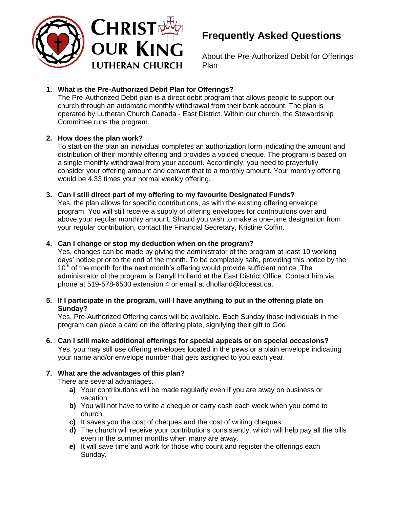

# **Frequently Asked Questions**

About the Pre-Authorized Debit for Offerings Plan

## **1. What is the Pre-Authorized Debit Plan for Offerings?**

The Pre-Authorized Debit plan is a direct debit program that allows people to support our church through an automatic monthly withdrawal from their bank account. The plan is operated by Lutheran Church Canada - East District. Within our church, the Stewardship Committee runs the program.

## **2. How does the plan work?**

To start on the plan an individual completes an authorization form indicating the amount and distribution of their monthly offering and provides a voided cheque. The program is based on a single monthly withdrawal from your account. Accordingly, you need to prayerfully consider your offering amount and convert that to a monthly amount. Your monthly offering would be 4.33 times your normal weekly offering.

## **3. Can I still direct part of my offering to my favourite Designated Funds?**

Yes, the plan allows for specific contributions, as with the existing offering envelope program. You will still receive a supply of offering envelopes for contributions over and above your regular monthly amount. Should you wish to make a one-time designation from your regular contribution, contact the Financial Secretary, Kristine Coffin.

## **4. Can I change or stop my deduction when on the program?**

Yes, changes can be made by giving the administrator of the program at least 10 working days' notice prior to the end of the month. To be completely safe, providing this notice by the  $10<sup>th</sup>$  of the month for the next month's offering would provide sufficient notice. The administrator of the program is Darryll Holland at the East District Office. Contact him via phone at 519-578-6500 extension 4 or email at dholland@lcceast.ca.

### **5. If I participate in the program, will I have anything to put in the offering plate on Sunday?**

Yes, Pre-Authorized Offering cards will be available. Each Sunday those individuals in the program can place a card on the offering plate, signifying their gift to God.

**6. Can I still make additional offerings for special appeals or on special occasions?** Yes, you may still use offering envelopes located in the pews or a plain envelope indicating your name and/or envelope number that gets assigned to you each year.

## **7. What are the advantages of this plan?**

There are several advantages.

- **a)** Your contributions will be made regularly even if you are away on business or vacation.
- **b)** You will not have to write a cheque or carry cash each week when you come to church.
- **c)** It saves you the cost of cheques and the cost of writing cheques.
- **d)** The church will receive your contributions consistently, which will help pay all the bills even in the summer months when many are away.
- **e)** It will save time and work for those who count and register the offerings each Sunday.